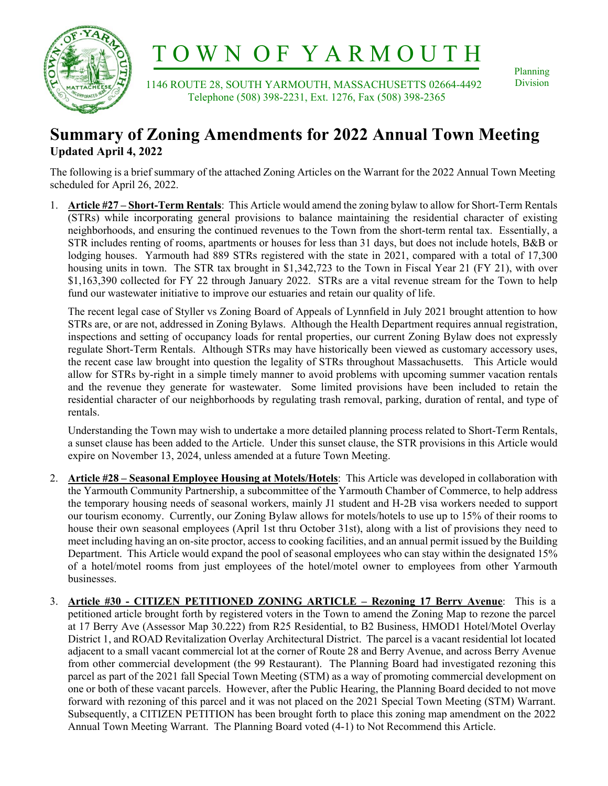

# T O W N O F Y A R M O U T H

 1146 ROUTE 28, SOUTH YARMOUTH, MASSACHUSETTS 02664-4492 Telephone (508) 398-2231, Ext. 1276, Fax (508) 398-2365

Planning Division

# **Summary of Zoning Amendments for 2022 Annual Town Meeting Updated April 4, 2022**

The following is a brief summary of the attached Zoning Articles on the Warrant for the 2022 Annual Town Meeting scheduled for April 26, 2022.

1. **Article #27 – Short-Term Rentals**: This Article would amend the zoning bylaw to allow for Short-Term Rentals (STRs) while incorporating general provisions to balance maintaining the residential character of existing neighborhoods, and ensuring the continued revenues to the Town from the short-term rental tax. Essentially, a STR includes renting of rooms, apartments or houses for less than 31 days, but does not include hotels, B&B or lodging houses. Yarmouth had 889 STRs registered with the state in 2021, compared with a total of 17,300 housing units in town. The STR tax brought in \$1,342,723 to the Town in Fiscal Year 21 (FY 21), with over \$1,163,390 collected for FY 22 through January 2022. STRs are a vital revenue stream for the Town to help fund our wastewater initiative to improve our estuaries and retain our quality of life.

The recent legal case of Styller vs Zoning Board of Appeals of Lynnfield in July 2021 brought attention to how STRs are, or are not, addressed in Zoning Bylaws. Although the Health Department requires annual registration, inspections and setting of occupancy loads for rental properties, our current Zoning Bylaw does not expressly regulate Short-Term Rentals. Although STRs may have historically been viewed as customary accessory uses, the recent case law brought into question the legality of STRs throughout Massachusetts. This Article would allow for STRs by-right in a simple timely manner to avoid problems with upcoming summer vacation rentals and the revenue they generate for wastewater. Some limited provisions have been included to retain the residential character of our neighborhoods by regulating trash removal, parking, duration of rental, and type of rentals.

Understanding the Town may wish to undertake a more detailed planning process related to Short-Term Rentals, a sunset clause has been added to the Article. Under this sunset clause, the STR provisions in this Article would expire on November 13, 2024, unless amended at a future Town Meeting.

- 2. **Article #28 Seasonal Employee Housing at Motels/Hotels**: This Article was developed in collaboration with the Yarmouth Community Partnership, a subcommittee of the Yarmouth Chamber of Commerce, to help address the temporary housing needs of seasonal workers, mainly J1 student and H-2B visa workers needed to support our tourism economy. Currently, our Zoning Bylaw allows for motels/hotels to use up to 15% of their rooms to house their own seasonal employees (April 1st thru October 31st), along with a list of provisions they need to meet including having an on-site proctor, access to cooking facilities, and an annual permit issued by the Building Department. This Article would expand the pool of seasonal employees who can stay within the designated 15% of a hotel/motel rooms from just employees of the hotel/motel owner to employees from other Yarmouth businesses.
- 3. **Article #30 CITIZEN PETITIONED ZONING ARTICLE Rezoning 17 Berry Avenue**: This is a petitioned article brought forth by registered voters in the Town to amend the Zoning Map to rezone the parcel at 17 Berry Ave (Assessor Map 30.222) from R25 Residential, to B2 Business, HMOD1 Hotel/Motel Overlay District 1, and ROAD Revitalization Overlay Architectural District. The parcel is a vacant residential lot located adjacent to a small vacant commercial lot at the corner of Route 28 and Berry Avenue, and across Berry Avenue from other commercial development (the 99 Restaurant). The Planning Board had investigated rezoning this parcel as part of the 2021 fall Special Town Meeting (STM) as a way of promoting commercial development on one or both of these vacant parcels. However, after the Public Hearing, the Planning Board decided to not move forward with rezoning of this parcel and it was not placed on the 2021 Special Town Meeting (STM) Warrant. Subsequently, a CITIZEN PETITION has been brought forth to place this zoning map amendment on the 2022 Annual Town Meeting Warrant. The Planning Board voted (4-1) to Not Recommend this Article.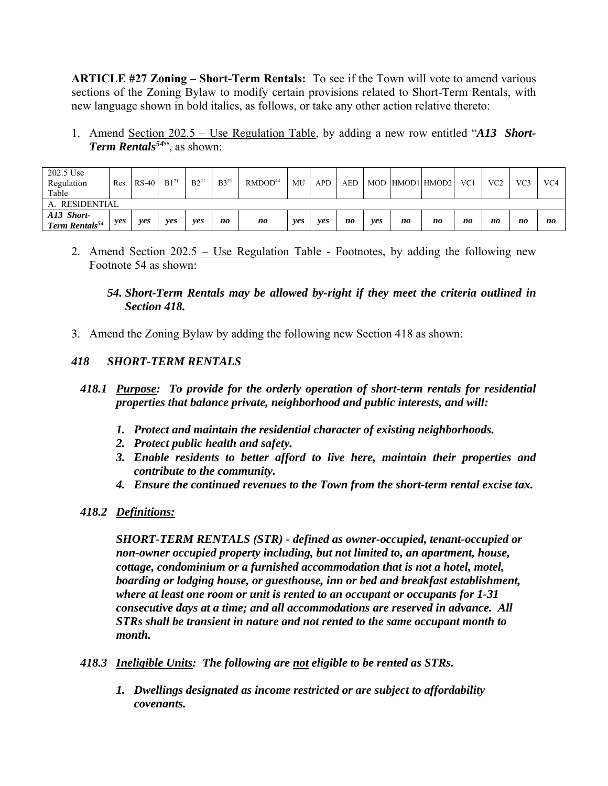**ARTICLE #27 Zoning – Short-Term Rentals:** To see if the Town will vote to amend various sections of the Zoning Bylaw to modify certain provisions related to Short-Term Rentals, with new language shown in bold italics, as follows, or take any other action relative thereto:

1. Amend Section 202.5 – Use Regulation Table, by adding a new row entitled "*A13 Short-Term Rentals54*", as shown:

| 202.5 Use<br>Regulation<br>Table         | Res. | RS-40 | $B1^{21}$ | $B2^2$ | $B3^{21}$      | RMDOD <sup>44</sup> | MU  | <b>APD</b> | AED            |     |    | MOD HMOD1 HMOD2 | VC1 | VC <sub>2</sub> | VC3 | VC <sub>4</sub> |
|------------------------------------------|------|-------|-----------|--------|----------------|---------------------|-----|------------|----------------|-----|----|-----------------|-----|-----------------|-----|-----------------|
| A. RESIDENTIAL                           |      |       |           |        |                |                     |     |            |                |     |    |                 |     |                 |     |                 |
| A13 Short-<br>Term Rentals <sup>54</sup> | ves  | ves   | ves       | yes    | n <sub>0</sub> | n <sub>0</sub>      | ves | ves        | n <sub>0</sub> | ves | no | n <sub>0</sub>  | no  | no              | no  | no              |

2. Amend Section 202.5 – Use Regulation Table - Footnotes, by adding the following new Footnote 54 as shown:

#### *54. Short-Term Rentals may be allowed by-right if they meet the criteria outlined in Section 418.*

3. Amend the Zoning Bylaw by adding the following new Section 418 as shown:

#### *418 SHORT-TERM RENTALS*

#### *418.1 Purpose: To provide for the orderly operation of short-term rentals for residential properties that balance private, neighborhood and public interests, and will:*

- *1. Protect and maintain the residential character of existing neighborhoods.*
- *2. Protect public health and safety.*
- *3. Enable residents to better afford to live here, maintain their properties and contribute to the community.*
- *4. Ensure the continued revenues to the Town from the short-term rental excise tax.*

#### *418.2 Definitions:*

*SHORT-TERM RENTALS (STR) - defined as owner-occupied, tenant-occupied or non-owner occupied property including, but not limited to, an apartment, house, cottage, condominium or a furnished accommodation that is not a hotel, motel, boarding or lodging house, or guesthouse, inn or bed and breakfast establishment, where at least one room or unit is rented to an occupant or occupants for 1-31 consecutive days at a time; and all accommodations are reserved in advance. All STRs shall be transient in nature and not rented to the same occupant month to month.* 

- *418.3 Ineligible Units: The following are not eligible to be rented as STRs.* 
	- *1. Dwellings designated as income restricted or are subject to affordability covenants.*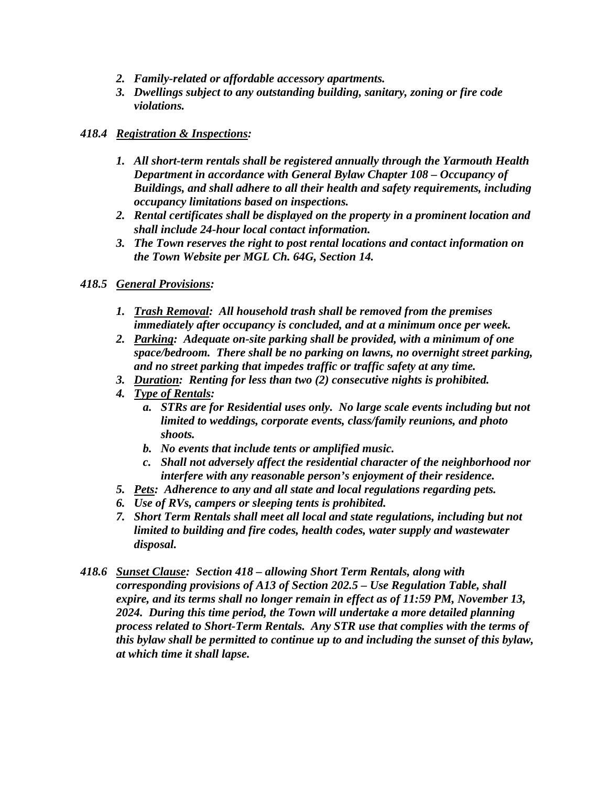- *2. Family-related or affordable accessory apartments.*
- *3. Dwellings subject to any outstanding building, sanitary, zoning or fire code violations.*

# *418.4 Registration & Inspections:*

- *1. All short-term rentals shall be registered annually through the Yarmouth Health Department in accordance with General Bylaw Chapter 108 – Occupancy of Buildings, and shall adhere to all their health and safety requirements, including occupancy limitations based on inspections.*
- *2. Rental certificates shall be displayed on the property in a prominent location and shall include 24-hour local contact information.*
- *3. The Town reserves the right to post rental locations and contact information on the Town Website per MGL Ch. 64G, Section 14.*

## *418.5 General Provisions:*

- *1. Trash Removal: All household trash shall be removed from the premises immediately after occupancy is concluded, and at a minimum once per week.*
- *2. Parking: Adequate on-site parking shall be provided, with a minimum of one space/bedroom. There shall be no parking on lawns, no overnight street parking, and no street parking that impedes traffic or traffic safety at any time.*
- *3. Duration: Renting for less than two (2) consecutive nights is prohibited.*
- *4. Type of Rentals:* 
	- *a. STRs are for Residential uses only. No large scale events including but not limited to weddings, corporate events, class/family reunions, and photo shoots.*
	- *b. No events that include tents or amplified music.*
	- *c. Shall not adversely affect the residential character of the neighborhood nor interfere with any reasonable person's enjoyment of their residence.*
- *5. Pets: Adherence to any and all state and local regulations regarding pets.*
- *6. Use of RVs, campers or sleeping tents is prohibited.*
- *7. Short Term Rentals shall meet all local and state regulations, including but not limited to building and fire codes, health codes, water supply and wastewater disposal.*
- *418.6 Sunset Clause: Section 418 allowing Short Term Rentals, along with corresponding provisions of A13 of Section 202.5 – Use Regulation Table, shall expire, and its terms shall no longer remain in effect as of 11:59 PM, November 13, 2024. During this time period, the Town will undertake a more detailed planning process related to Short-Term Rentals. Any STR use that complies with the terms of this bylaw shall be permitted to continue up to and including the sunset of this bylaw, at which time it shall lapse.*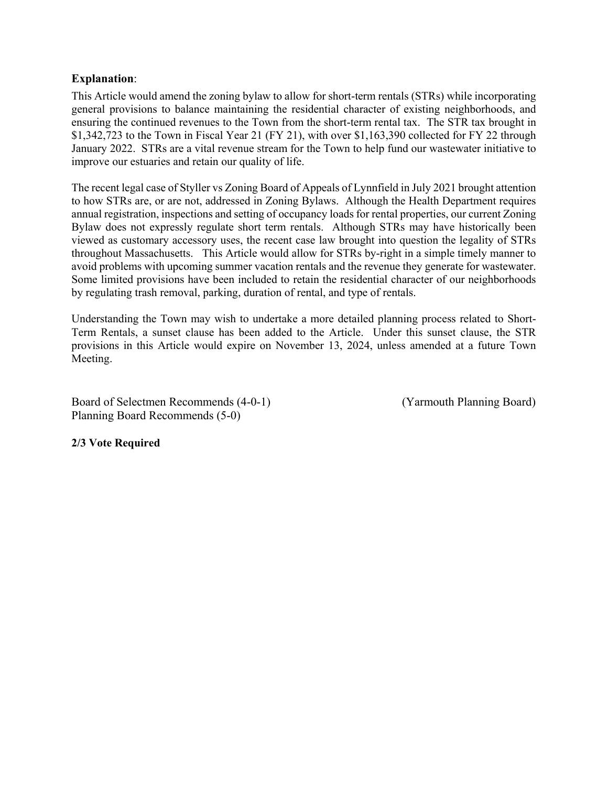#### **Explanation**:

This Article would amend the zoning bylaw to allow for short-term rentals (STRs) while incorporating general provisions to balance maintaining the residential character of existing neighborhoods, and ensuring the continued revenues to the Town from the short-term rental tax. The STR tax brought in \$1,342,723 to the Town in Fiscal Year 21 (FY 21), with over \$1,163,390 collected for FY 22 through January 2022. STRs are a vital revenue stream for the Town to help fund our wastewater initiative to improve our estuaries and retain our quality of life.

The recent legal case of Styller vs Zoning Board of Appeals of Lynnfield in July 2021 brought attention to how STRs are, or are not, addressed in Zoning Bylaws. Although the Health Department requires annual registration, inspections and setting of occupancy loads for rental properties, our current Zoning Bylaw does not expressly regulate short term rentals. Although STRs may have historically been viewed as customary accessory uses, the recent case law brought into question the legality of STRs throughout Massachusetts. This Article would allow for STRs by-right in a simple timely manner to avoid problems with upcoming summer vacation rentals and the revenue they generate for wastewater. Some limited provisions have been included to retain the residential character of our neighborhoods by regulating trash removal, parking, duration of rental, and type of rentals.

Understanding the Town may wish to undertake a more detailed planning process related to Short-Term Rentals, a sunset clause has been added to the Article. Under this sunset clause, the STR provisions in this Article would expire on November 13, 2024, unless amended at a future Town Meeting.

Board of Selectmen Recommends (4-0-1) (Yarmouth Planning Board) Planning Board Recommends (5-0)

#### **2/3 Vote Required**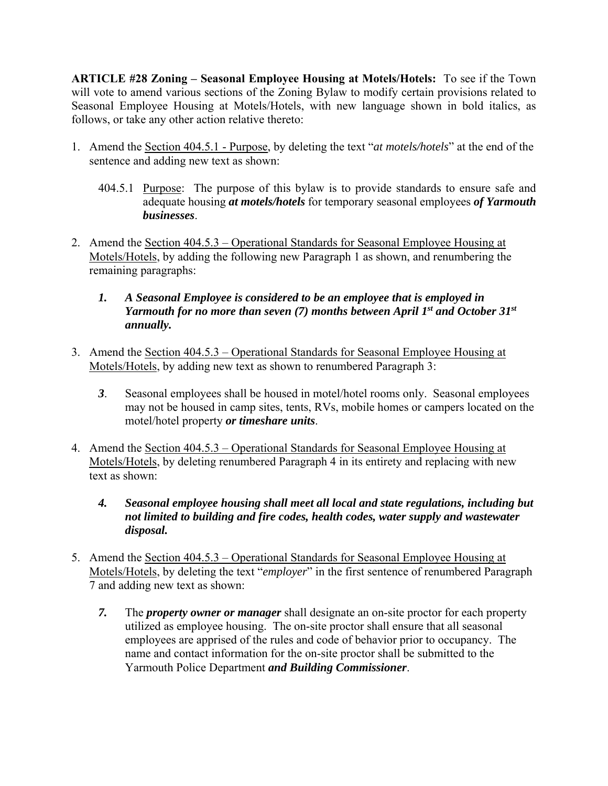**ARTICLE #28 Zoning – Seasonal Employee Housing at Motels/Hotels:** To see if the Town will vote to amend various sections of the Zoning Bylaw to modify certain provisions related to Seasonal Employee Housing at Motels/Hotels, with new language shown in bold italics, as follows, or take any other action relative thereto:

- 1. Amend the Section 404.5.1 Purpose, by deleting the text "*at motels/hotels*" at the end of the sentence and adding new text as shown:
	- 404.5.1 Purpose: The purpose of this bylaw is to provide standards to ensure safe and adequate housing *at motels/hotels* for temporary seasonal employees *of Yarmouth businesses*.
- 2. Amend the Section 404.5.3 Operational Standards for Seasonal Employee Housing at Motels/Hotels, by adding the following new Paragraph 1 as shown, and renumbering the remaining paragraphs:
	- *1. A Seasonal Employee is considered to be an employee that is employed in Yarmouth for no more than seven (7) months between April 1st and October 31st annually.*
- 3. Amend the Section 404.5.3 Operational Standards for Seasonal Employee Housing at Motels/Hotels, by adding new text as shown to renumbered Paragraph 3:
	- *3*. Seasonal employees shall be housed in motel/hotel rooms only. Seasonal employees may not be housed in camp sites, tents, RVs, mobile homes or campers located on the motel/hotel property *or timeshare units*.
- 4. Amend the Section 404.5.3 Operational Standards for Seasonal Employee Housing at Motels/Hotels, by deleting renumbered Paragraph 4 in its entirety and replacing with new text as shown:
	- *4. Seasonal employee housing shall meet all local and state regulations, including but not limited to building and fire codes, health codes, water supply and wastewater disposal.*
- 5. Amend the Section 404.5.3 Operational Standards for Seasonal Employee Housing at Motels/Hotels, by deleting the text "*employer*" in the first sentence of renumbered Paragraph 7 and adding new text as shown:
	- *7.* The *property owner or manager* shall designate an on-site proctor for each property utilized as employee housing. The on-site proctor shall ensure that all seasonal employees are apprised of the rules and code of behavior prior to occupancy. The name and contact information for the on-site proctor shall be submitted to the Yarmouth Police Department *and Building Commissioner*.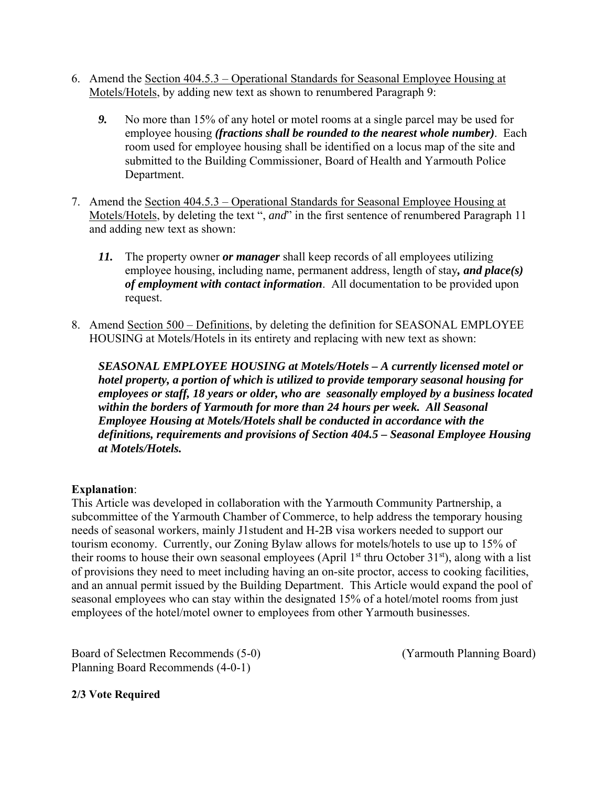- 6. Amend the Section 404.5.3 Operational Standards for Seasonal Employee Housing at Motels/Hotels, by adding new text as shown to renumbered Paragraph 9:
	- *9.* No more than 15% of any hotel or motel rooms at a single parcel may be used for employee housing *(fractions shall be rounded to the nearest whole number)*. Each room used for employee housing shall be identified on a locus map of the site and submitted to the Building Commissioner, Board of Health and Yarmouth Police Department.
- 7. Amend the Section 404.5.3 Operational Standards for Seasonal Employee Housing at Motels/Hotels, by deleting the text ", *and*" in the first sentence of renumbered Paragraph 11 and adding new text as shown:
	- *11.* The property owner *or manager* shall keep records of all employees utilizing employee housing, including name, permanent address, length of stay*, and place(s) of employment with contact information*. All documentation to be provided upon request.
- 8. Amend Section 500 Definitions, by deleting the definition for SEASONAL EMPLOYEE HOUSING at Motels/Hotels in its entirety and replacing with new text as shown:

*SEASONAL EMPLOYEE HOUSING at Motels/Hotels – A currently licensed motel or hotel property, a portion of which is utilized to provide temporary seasonal housing for employees or staff, 18 years or older, who are seasonally employed by a business located within the borders of Yarmouth for more than 24 hours per week. All Seasonal Employee Housing at Motels/Hotels shall be conducted in accordance with the definitions, requirements and provisions of Section 404.5 – Seasonal Employee Housing at Motels/Hotels.* 

## **Explanation**:

This Article was developed in collaboration with the Yarmouth Community Partnership, a subcommittee of the Yarmouth Chamber of Commerce, to help address the temporary housing needs of seasonal workers, mainly J1student and H-2B visa workers needed to support our tourism economy. Currently, our Zoning Bylaw allows for motels/hotels to use up to 15% of their rooms to house their own seasonal employees (April  $1<sup>st</sup>$  thru October 31 $<sup>st</sup>$ ), along with a list</sup> of provisions they need to meet including having an on-site proctor, access to cooking facilities, and an annual permit issued by the Building Department. This Article would expand the pool of seasonal employees who can stay within the designated 15% of a hotel/motel rooms from just employees of the hotel/motel owner to employees from other Yarmouth businesses.

Board of Selectmen Recommends (5-0) (Yarmouth Planning Board) Planning Board Recommends (4-0-1)

#### **2/3 Vote Required**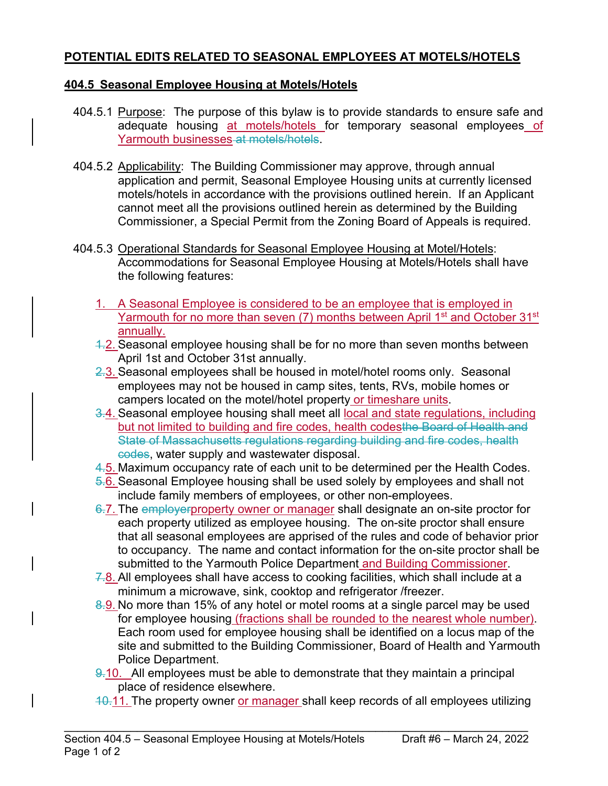# **POTENTIAL EDITS RELATED TO SEASONAL EMPLOYEES AT MOTELS/HOTELS**

# **404.5 Seasonal Employee Housing at Motels/Hotels**

- 404.5.1 Purpose: The purpose of this bylaw is to provide standards to ensure safe and adequate housing at motels/hotels for temporary seasonal employees of Yarmouth businesses at motels/hotels.
- 404.5.2 Applicability: The Building Commissioner may approve, through annual application and permit, Seasonal Employee Housing units at currently licensed motels/hotels in accordance with the provisions outlined herein. If an Applicant cannot meet all the provisions outlined herein as determined by the Building Commissioner, a Special Permit from the Zoning Board of Appeals is required.
- 404.5.3 Operational Standards for Seasonal Employee Housing at Motel/Hotels: Accommodations for Seasonal Employee Housing at Motels/Hotels shall have the following features:
	- 1. A Seasonal Employee is considered to be an employee that is employed in Yarmouth for no more than seven (7) months between April 1<sup>st</sup> and October 31<sup>st</sup> annually.
	- 4.2. Seasonal employee housing shall be for no more than seven months between April 1st and October 31st annually.
	- 2.3. Seasonal employees shall be housed in motel/hotel rooms only. Seasonal employees may not be housed in camp sites, tents, RVs, mobile homes or campers located on the motel/hotel property or timeshare units.
	- 3.4. Seasonal employee housing shall meet all local and state regulations, including but not limited to building and fire codes, health codesthe Board of Health and State of Massachusetts regulations regarding building and fire codes, health codes, water supply and wastewater disposal.
	- 4.5. Maximum occupancy rate of each unit to be determined per the Health Codes.
	- 5.6. Seasonal Employee housing shall be used solely by employees and shall not include family members of employees, or other non-employees.
	- 6.7. The employerproperty owner or manager shall designate an on-site proctor for each property utilized as employee housing. The on-site proctor shall ensure that all seasonal employees are apprised of the rules and code of behavior prior to occupancy. The name and contact information for the on-site proctor shall be submitted to the Yarmouth Police Department and Building Commissioner.
	- $7.8$ . All employees shall have access to cooking facilities, which shall include at a minimum a microwave, sink, cooktop and refrigerator /freezer.
	- 8.9. No more than 15% of any hotel or motel rooms at a single parcel may be used for employee housing (fractions shall be rounded to the nearest whole number). Each room used for employee housing shall be identified on a locus map of the site and submitted to the Building Commissioner, Board of Health and Yarmouth Police Department.
	- 9.10. All employees must be able to demonstrate that they maintain a principal place of residence elsewhere.

\_\_\_\_\_\_\_\_\_\_\_\_\_\_\_\_\_\_\_\_\_\_\_\_\_\_\_\_\_\_\_\_\_\_\_\_\_\_\_\_\_\_\_\_\_\_\_\_\_\_\_\_\_\_\_\_\_\_\_\_\_\_\_\_\_\_\_\_\_\_

 $10.11$ . The property owner or manager shall keep records of all employees utilizing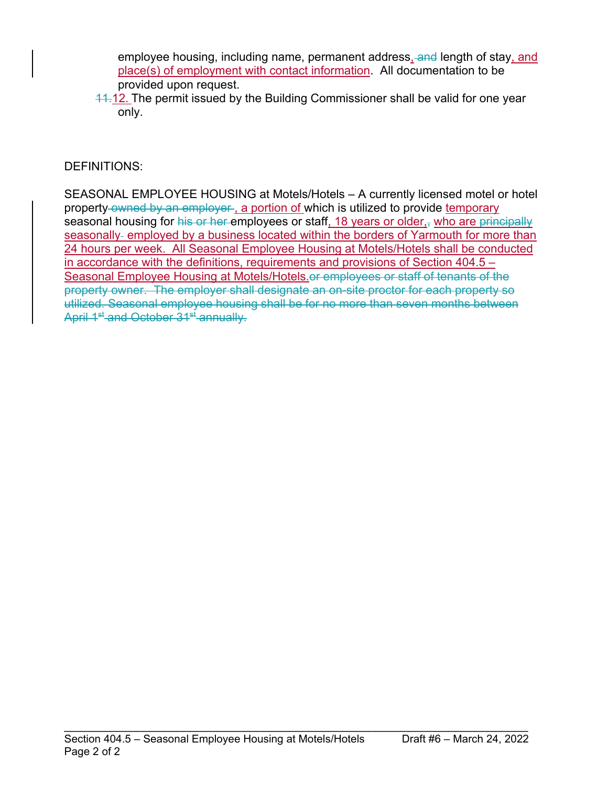employee housing, including name, permanent address, and length of stay, and place(s) of employment with contact information. All documentation to be provided upon request.

11.12. The permit issued by the Building Commissioner shall be valid for one year only.

# DEFINITIONS:

SEASONAL EMPLOYEE HOUSING at Motels/Hotels – A currently licensed motel or hotel property-owned by an employer, a portion of which is utilized to provide temporary seasonal housing for his or her employees or staff, 18 years or older, who are principally seasonally- employed by a business located within the borders of Yarmouth for more than 24 hours per week. All Seasonal Employee Housing at Motels/Hotels shall be conducted in accordance with the definitions, requirements and provisions of Section 404.5 – Seasonal Employee Housing at Motels/Hotels.or employees or staff of tenants of the property owner. The employer shall designate an on-site proctor for each property so utilized. Seasonal employee housing shall be for no more than seven months between April 1<sup>st</sup> and October 31<sup>st</sup> annually.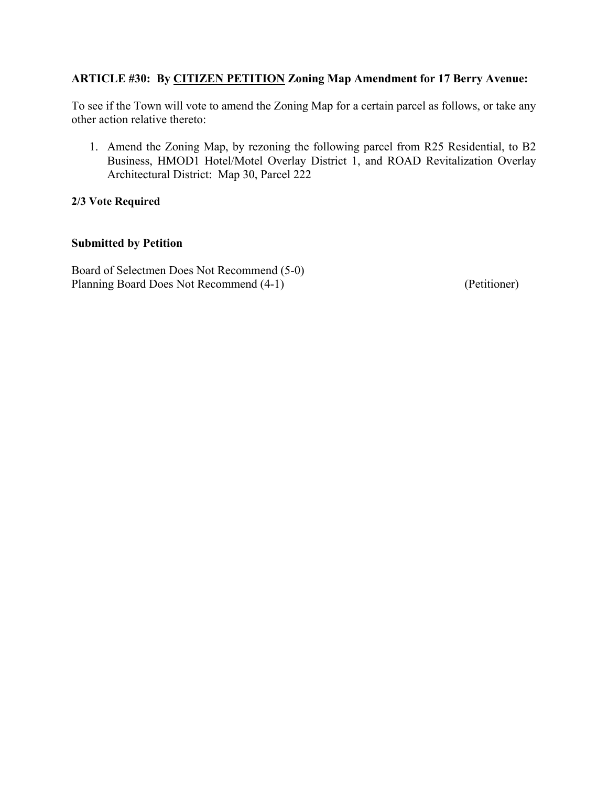# **ARTICLE #30: By CITIZEN PETITION Zoning Map Amendment for 17 Berry Avenue:**

To see if the Town will vote to amend the Zoning Map for a certain parcel as follows, or take any other action relative thereto:

1. Amend the Zoning Map, by rezoning the following parcel from R25 Residential, to B2 Business, HMOD1 Hotel/Motel Overlay District 1, and ROAD Revitalization Overlay Architectural District: Map 30, Parcel 222

#### **2/3 Vote Required**

# **Submitted by Petition**

Board of Selectmen Does Not Recommend (5-0) Planning Board Does Not Recommend (4-1) (Petitioner)